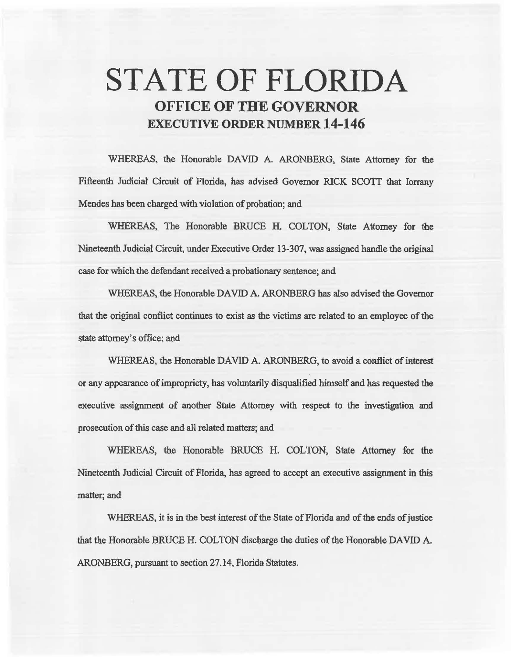# **STATE OF FLORIDA OFFICE OF THE GOVERNOR EXECUTIVE ORDER NUMBER 14-146**

WHEREAS. the Honorable DAVID A. ARONBERG. State Attorney for the Fifteenth Judicial Circuit of Florida, has advised Governor RICK SCOTT that Iorrany Mendes has been charged with violation of probation; and

WHEREAS, The Honorable BRUCE H. COLTON, State Attorney for the Nineteenth Judicial Circuit, under Executive Order 13-307, was assigned handle the original case for which the defendant received a probationary sentence; and

WHEREAS, the Honorable DAVID A. ARONBERG bas also advised the Governor that the original conflict continues to exist as the victims are related to an employee of the state attorney's office; and

WHEREAS, the Honorable DAVID A. ARONBERG, to avoid a conflict of interest or any appearance of impropriety, has voluntarily disqualified himself and has requested the executive assignment of another State Attorney with respect to the investigation and prosecution of this case and all related matters; and

WHEREAS, the Honorable BRUCE H. COLTON, State Attorney for the Nineteenth Judicial Circuit of Florida, has agreed to accept an executive assignment in this matter; and

WHEREAS, it is in the best interest of the State of Florida and of the ends of justice that the Honorable BRUCE H. COLTON discharge the duties of the Honorable DAVID A. ARONBERG, pursuant to section 27.14, Florida Statutes.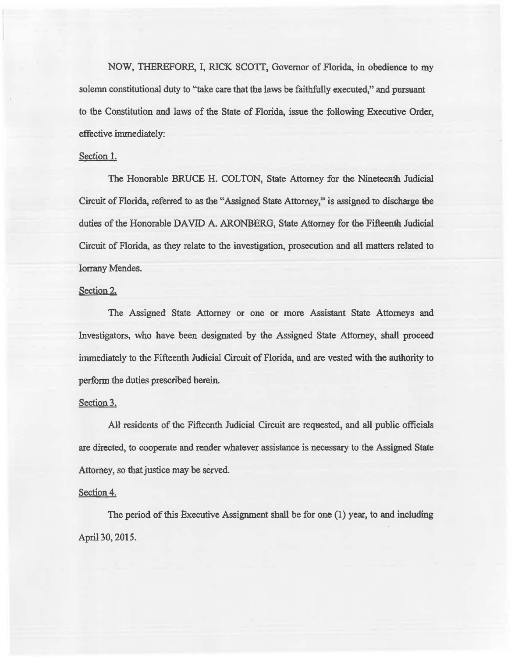NOW, THEREFORE, I, RICK SCOTI, Governor of Florida, in obedience to my solemn constitutional duty to "take care that the laws be faithfully executed," and pursuant to the Constitution and laws of the State of Florida, issue the following Executive Order, effective immediately:

# Section l.

The Honorable BRUCE H. COLTON, State Attorney for the Nineteenth Judicial Circuit of Florida, referred to as the "Assigned State Attorney," is assigned to discharge the duties of the Honorable DAVID A. ARONBERG, State Attorney for the Fifteenth. Judicial Circuit of Florida, as they relate to the investigation, prosecution and ail matters related to lorrany Mendes.

## Section 2.

The Assigned State Attorney or one or more Assistant State Attorneys and Investigators, who have been designated by the Assigned State Attorney, shail proceed immediately to the Fifteenth Judicial Circuit of Florida, and are vested with 1he authority to perform the duties prescribed herein.

#### Section 3.

All residents of the Fifteenth Judicial Circuit are requested, and all public officials are directed, to cooperate and render whatever assistance is necessary to the Assigned State Attorney, so that justice may be served.

# Section 4.

The period of this Executive Assignment shall be for one (1) year, to and including April 30, 2015.